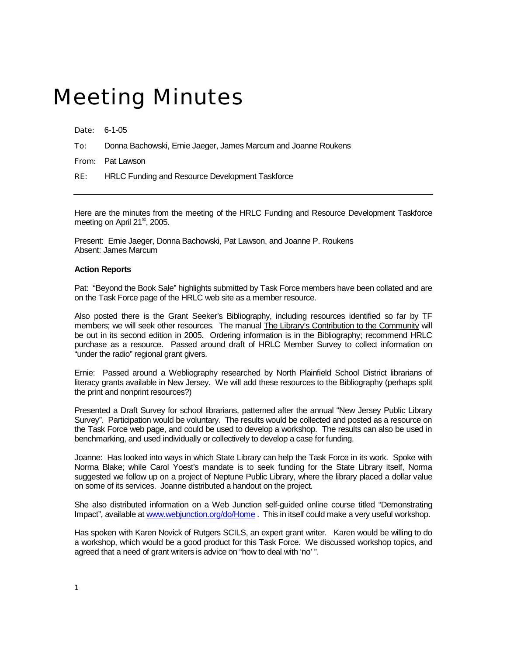## Meeting Minutes

Date: 6-1-05

To: Donna Bachowski, Ernie Jaeger, James Marcum and Joanne Roukens

From: Pat Lawson

RE: HRLC Funding and Resource Development Taskforce

Here are the minutes from the meeting of the HRLC Funding and Resource Development Taskforce meeting on April 21<sup>st</sup>, 2005.

Present: Ernie Jaeger, Donna Bachowski, Pat Lawson, and Joanne P. Roukens Absent: James Marcum

## **Action Reports**

Pat: "Beyond the Book Sale" highlights submitted by Task Force members have been collated and are on the Task Force page of the HRLC web site as a member resource.

Also posted there is the Grant Seeker's Bibliography, including resources identified so far by TF members; we will seek other resources. The manual The Library's Contribution to the Community will be out in its second edition in 2005. Ordering information is in the Bibliography; recommend HRLC purchase as a resource. Passed around draft of HRLC Member Survey to collect information on "under the radio" regional grant givers.

Ernie: Passed around a Webliography researched by North Plainfield School District librarians of literacy grants available in New Jersey. We will add these resources to the Bibliography (perhaps split the print and nonprint resources?)

Presented a Draft Survey for school librarians, patterned after the annual "New Jersey Public Library Survey". Participation would be voluntary. The results would be collected and posted as a resource on the Task Force web page, and could be used to develop a workshop. The results can also be used in benchmarking, and used individually or collectively to develop a case for funding.

Joanne: Has looked into ways in which State Library can help the Task Force in its work. Spoke with Norma Blake; while Carol Yoest's mandate is to seek funding for the State Library itself, Norma suggested we follow up on a project of Neptune Public Library, where the library placed a dollar value on some of its services. Joanne distributed a handout on the project.

She also distributed information on a Web Junction self-guided online course titled "Demonstrating Impact", available at [www.webjunction.org/do/Home](http://www.webjunction.org/do/Home) . This in itself could make a very useful workshop.

Has spoken with Karen Novick of Rutgers SCILS, an expert grant writer. Karen would be willing to do a workshop, which would be a good product for this Task Force. We discussed workshop topics, and agreed that a need of grant writers is advice on "how to deal with 'no' ".